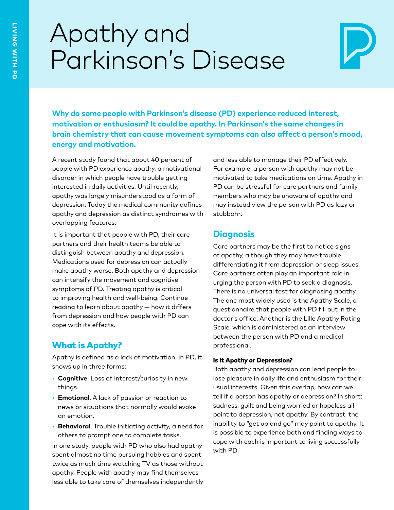# Apathy and Parkinson's Disease



**Why do some people with Parkinson's disease (PD) experience reduced interest, motivation or enthusiasm? It could be apathy. In Parkinson's the same changes in brain chemistry that can cause movement symptoms can also affect a person's mood, energy and motivation.**

A recent study found that about 40 percent of people with PD experience apathy, a motivational disorder in which people have trouble getting interested in daily activities. Until recently, apathy was largely misunderstood as a form of depression. Today the medical community defines apathy and depression as distinct syndromes with overlapping features.

It is important that people with PD, their care partners and their health teams be able to distinguish between apathy and depression. Medications used for depression can actually make apathy worse. Both apathy and depression can intensify the movement and cognitive symptoms of PD. Treating apathy is critical to improving health and well-being. Continue reading to learn about apathy — how it differs from depression and how people with PD can cope with its effects.

## What is Apathy?

Apathy is defined as a lack of motivation. In PD, it shows up in three forms:

- **Cognitive**. Loss of interest/curiosity in new things.
- **Emotional**. A lack of passion or reaction to news or situations that normally would evoke an emotion.
- **Behavioral**. Trouble initiating activity, a need for others to prompt one to complete tasks.

In one study, people with PD who also had apathy spent almost no time pursuing hobbies and spent twice as much time watching TV as those without apathy. People with apathy may find themselves less able to take care of themselves independently and less able to manage their PD effectively. For example, a person with apathy may not be motivated to take medications on time. Apathy in PD can be stressful for care partners and family members who may be unaware of apathy and may instead view the person with PD as lazy or stubborn.

## **Diagnosis**

Care partners may be the first to notice signs of apathy, although they may have trouble differentiating it from depression or sleep issues. Care partners often play an important role in urging the person with PD to seek a diagnosis. There is no universal test for diagnosing apathy. The one most widely used is the Apathy Scale, a questionnaire that people with PD fill out in the doctor's office. Another is the Lille Apathy Rating Scale, which is administered as an interview between the person with PD and a medical professional.

#### Is It Apathy or Depression?

Both apathy and depression can lead people to lose pleasure in daily life and enthusiasm for their usual interests. Given this overlap, how can we tell if a person has apathy or depression? In short: sadness, guilt and being worried or hopeless all point to depression, not apathy. By contrast, the inability to "get up and go" may point to apathy. It is possible to experience both and finding ways to cope with each is important to living successfully with PD.